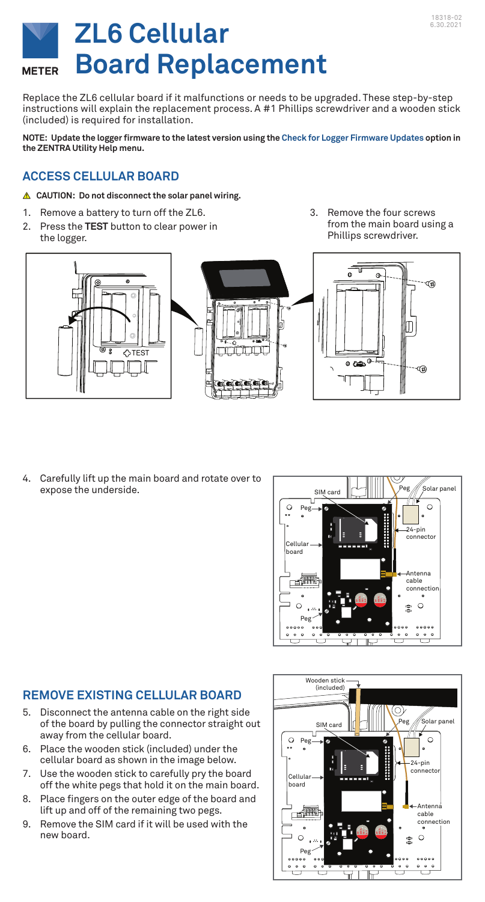

# **ZL6 Cellular Board Replacement**

Replace the ZL6 cellular board if it malfunctions or needs to be upgraded. These step-by-step instructions will explain the replacement process. A #1 Phillips screwdriver and a wooden stick (included) is required for installation.

**NOTE: Update the logger firmware to the latest version using the Check for Logger Firmware Updates option in the ZENTRA Utility Help menu.**

## **ACCESS CELLULAR BOARD**

- **CAUTION: Do not disconnect the solar panel wiring.**
- 1. Remove a battery to turn off the ZL6.
- 2. Press the **TEST** button to clear power in the logger.

3. Remove the four screws from the main board using a Phillips screwdriver.



4. Carefully lift up the main board and rotate over to expose the underside.



#### **REMOVE EXISTING CELLULAR BOARD**

- 5. Disconnect the antenna cable on the right side of the board by pulling the connector straight out away from the cellular board.
- 6. Place the wooden stick (included) under the cellular board as shown in the image below.
- 7. Use the wooden stick to carefully pry the board off the white pegs that hold it on the main board.
- 8. Place fingers on the outer edge of the board and lift up and off of the remaining two pegs.
- 9. Remove the SIM card if it will be used with the new board.